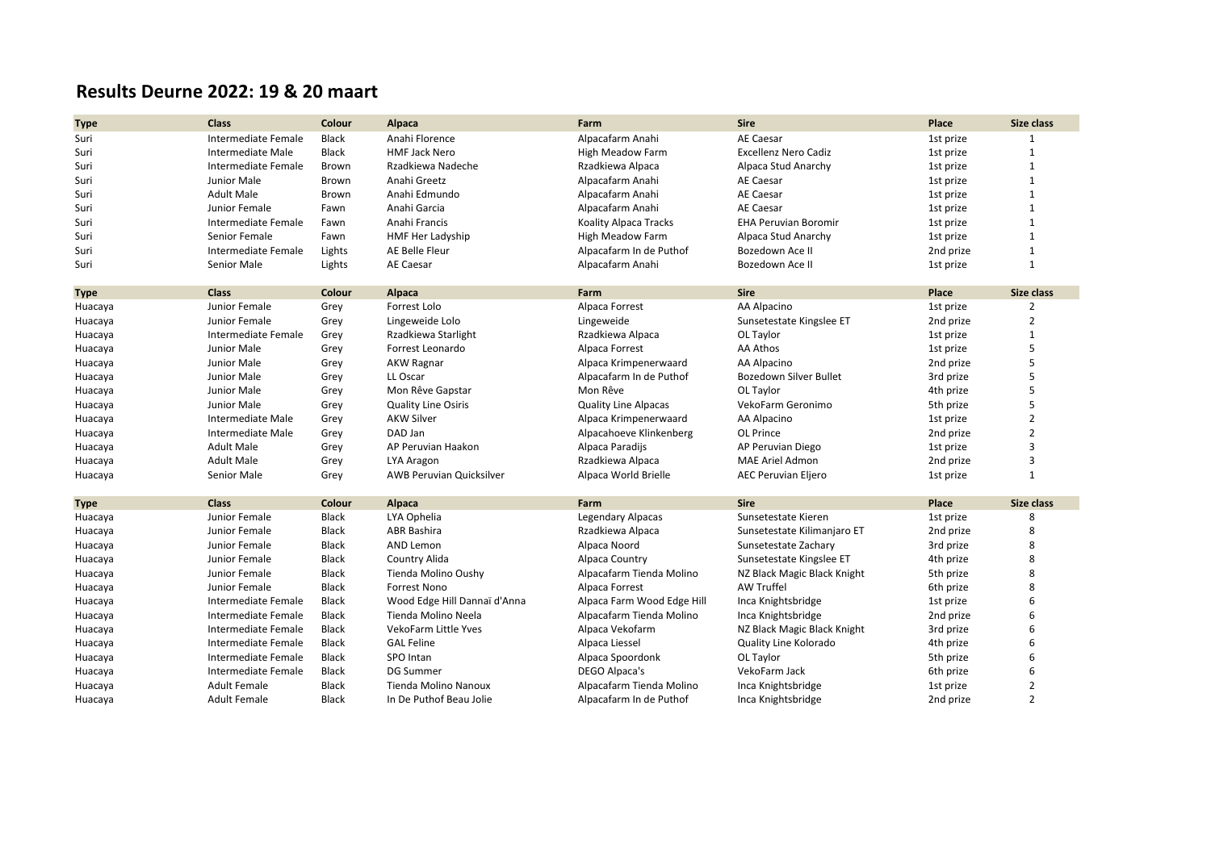## **Results Deurne 2022: 19 & 20 maart**

| <b>Type</b> | <b>Class</b>             | Colour       | <b>Alpaca</b>                   | Farm                         | <b>Sire</b>                 | Place     | Size class     |
|-------------|--------------------------|--------------|---------------------------------|------------------------------|-----------------------------|-----------|----------------|
| Suri        | Intermediate Female      | Black        | Anahi Florence                  | Alpacafarm Anahi             | <b>AE Caesar</b>            | 1st prize | 1              |
| Suri        | Intermediate Male        | Black        | <b>HMF Jack Nero</b>            | <b>High Meadow Farm</b>      | <b>Excellenz Nero Cadiz</b> | 1st prize | $\mathbf{1}$   |
| Suri        | Intermediate Female      | Brown        | Rzadkiewa Nadeche               | Rzadkiewa Alpaca             | Alpaca Stud Anarchy         | 1st prize | 1              |
| Suri        | Junior Male              | Brown        | Anahi Greetz                    | Alpacafarm Anahi             | AE Caesar                   | 1st prize | $\mathbf{1}$   |
| Suri        | <b>Adult Male</b>        | Brown        | Anahi Edmundo                   | Alpacafarm Anahi             | <b>AE Caesar</b>            | 1st prize | $\mathbf{1}$   |
| Suri        | Junior Female            | Fawn         | Anahi Garcia                    | Alpacafarm Anahi             | <b>AE Caesar</b>            | 1st prize | $\mathbf{1}$   |
| Suri        | Intermediate Female      | Fawn         | Anahi Francis                   | <b>Koality Alpaca Tracks</b> | <b>EHA Peruvian Boromir</b> | 1st prize | $\mathbf{1}$   |
| Suri        | Senior Female            | Fawn         | HMF Her Ladyship                | <b>High Meadow Farm</b>      | Alpaca Stud Anarchy         | 1st prize | $\mathbf{1}$   |
| Suri        | Intermediate Female      | Lights       | AE Belle Fleur                  | Alpacafarm In de Puthof      | Bozedown Ace II             | 2nd prize | $\mathbf{1}$   |
| Suri        | Senior Male              | Lights       | <b>AE Caesar</b>                | Alpacafarm Anahi             | Bozedown Ace II             | 1st prize | $\mathbf{1}$   |
| <b>Type</b> | <b>Class</b>             | Colour       | Alpaca                          | Farm                         | <b>Sire</b>                 | Place     | Size class     |
| Huacaya     | Junior Female            | Grey         | Forrest Lolo                    | Alpaca Forrest               | AA Alpacino                 | 1st prize | $\overline{2}$ |
| Huacaya     | Junior Female            | Grey         | Lingeweide Lolo                 | Lingeweide                   | Sunsetestate Kingslee ET    | 2nd prize | $\overline{2}$ |
| Huacaya     | Intermediate Female      | Grey         | Rzadkiewa Starlight             | Rzadkiewa Alpaca             | OL Taylor                   | 1st prize | $\mathbf{1}$   |
| Huacaya     | Junior Male              | Grey         | Forrest Leonardo                | Alpaca Forrest               | AA Athos                    | 1st prize | 5              |
| Huacaya     | Junior Male              | Grey         | AKW Ragnar                      | Alpaca Krimpenerwaard        | AA Alpacino                 | 2nd prize | 5              |
| Huacaya     | Junior Male              | Grey         | LL Oscar                        | Alpacafarm In de Puthof      | Bozedown Silver Bullet      | 3rd prize | 5              |
| Huacaya     | Junior Male              | Grey         | Mon Rêve Gapstar                | Mon Rêve                     | OL Taylor                   | 4th prize | 5              |
| Huacaya     | Junior Male              | Grey         | <b>Quality Line Osiris</b>      | <b>Quality Line Alpacas</b>  | VekoFarm Geronimo           | 5th prize | 5              |
| Huacaya     | <b>Intermediate Male</b> | Grey         | <b>AKW Silver</b>               | Alpaca Krimpenerwaard        | AA Alpacino                 | 1st prize | $\overline{2}$ |
| Huacaya     | Intermediate Male        | Grey         | DAD Jan                         | Alpacahoeve Klinkenberg      | OL Prince                   | 2nd prize | $\overline{2}$ |
| Huacaya     | <b>Adult Male</b>        | Grey         | AP Peruvian Haakon              | Alpaca Paradijs              | AP Peruvian Diego           | 1st prize | $\overline{3}$ |
| Huacaya     | <b>Adult Male</b>        | Grey         | LYA Aragon                      | Rzadkiewa Alpaca             | MAE Ariel Admon             | 2nd prize | $\overline{3}$ |
| Huacaya     | Senior Male              | Grey         | <b>AWB Peruvian Quicksilver</b> | Alpaca World Brielle         | <b>AEC Peruvian Eljero</b>  | 1st prize | $\mathbf{1}$   |
| <b>Type</b> | <b>Class</b>             | Colour       | Alpaca                          | Farm                         | <b>Sire</b>                 | Place     | Size class     |
| Huacaya     | Junior Female            | Black        | LYA Ophelia                     | <b>Legendary Alpacas</b>     | Sunsetestate Kieren         | 1st prize | 8              |
| Huacaya     | Junior Female            | Black        | <b>ABR Bashira</b>              | Rzadkiewa Alpaca             | Sunsetestate Kilimanjaro ET | 2nd prize | 8              |
| Huacaya     | Junior Female            | <b>Black</b> | AND Lemon                       | Alpaca Noord                 | Sunsetestate Zachary        | 3rd prize | 8              |
| Huacaya     | Junior Female            | <b>Black</b> | Country Alida                   | Alpaca Country               | Sunsetestate Kingslee ET    | 4th prize | 8              |
| Huacaya     | Junior Female            | Black        | Tienda Molino Oushy             | Alpacafarm Tienda Molino     | NZ Black Magic Black Knight | 5th prize | 8              |
| Huacaya     | Junior Female            | Black        | <b>Forrest Nono</b>             | Alpaca Forrest               | <b>AW Truffel</b>           | 6th prize | 8              |
| Huacaya     | Intermediate Female      | <b>Black</b> | Wood Edge Hill Dannaï d'Anna    | Alpaca Farm Wood Edge Hill   | Inca Knightsbridge          | 1st prize |                |
| Huacaya     | Intermediate Female      | <b>Black</b> | Tienda Molino Neela             | Alpacafarm Tienda Molino     | Inca Knightsbridge          | 2nd prize | 6              |
| Huacaya     | Intermediate Female      | <b>Black</b> | VekoFarm Little Yves            | Alpaca Vekofarm              | NZ Black Magic Black Knight | 3rd prize |                |
| Huacaya     | Intermediate Female      | <b>Black</b> | <b>GAL Feline</b>               | Alpaca Liessel               | Quality Line Kolorado       | 4th prize |                |
| Huacaya     | Intermediate Female      | <b>Black</b> | SPO Intan                       | Alpaca Spoordonk             | OL Taylor                   | 5th prize |                |
| Huacaya     | Intermediate Female      | <b>Black</b> | <b>DG Summer</b>                | DEGO Alpaca's                | VekoFarm Jack               | 6th prize | 6              |
| Huacaya     | <b>Adult Female</b>      | Black        | Tienda Molino Nanoux            | Alpacafarm Tienda Molino     | Inca Knightsbridge          | 1st prize | $\overline{2}$ |
| Huacaya     | <b>Adult Female</b>      | <b>Black</b> | In De Puthof Beau Jolie         | Alpacafarm In de Puthof      | Inca Knightsbridge          | 2nd prize | $\overline{2}$ |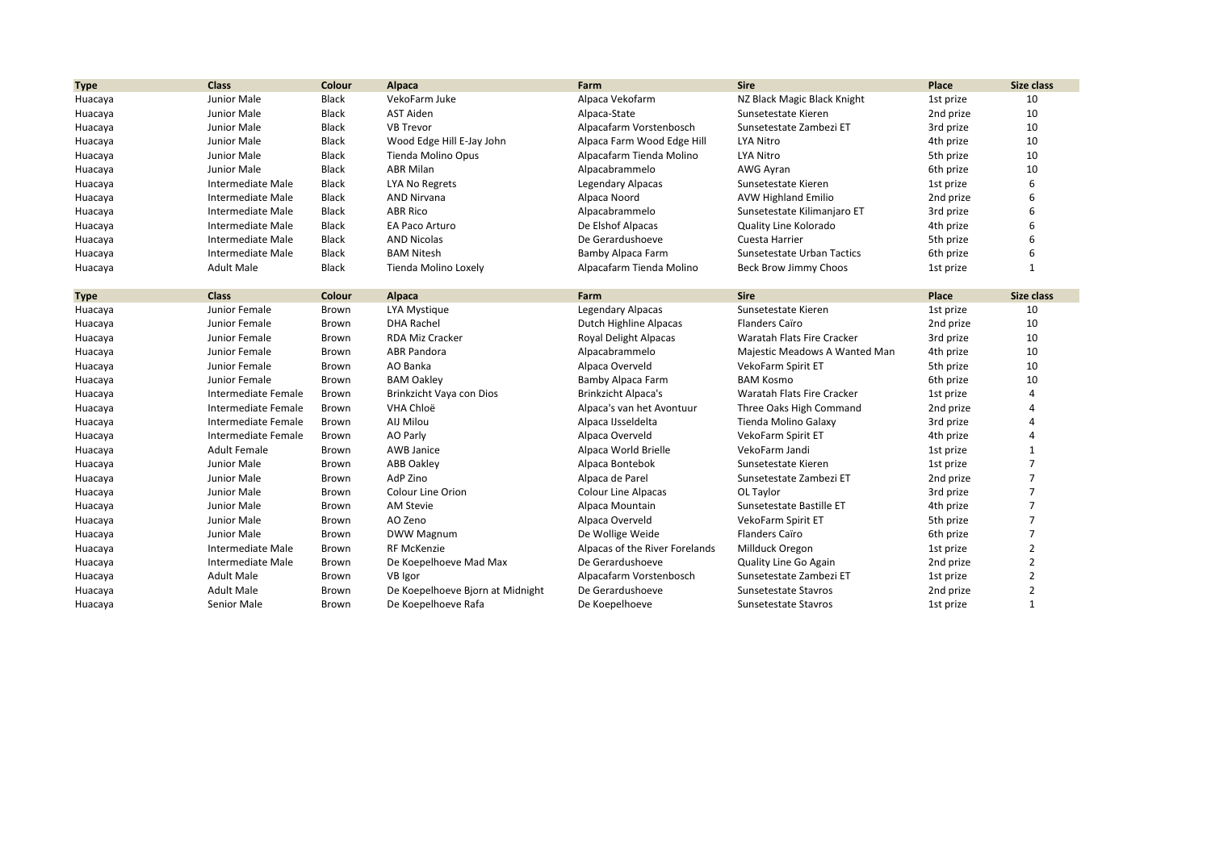| <b>Type</b> | <b>Class</b>             | Colour       | <b>Alpaca</b>                    | Farm                           | <b>Sire</b>                   | Place     | Size class     |
|-------------|--------------------------|--------------|----------------------------------|--------------------------------|-------------------------------|-----------|----------------|
| Huacaya     | Junior Male              | Black        | VekoFarm Juke                    | Alpaca Vekofarm                | NZ Black Magic Black Knight   | 1st prize | 10             |
| Huacaya     | Junior Male              | <b>Black</b> | <b>AST Aiden</b>                 | Alpaca-State                   | Sunsetestate Kieren           | 2nd prize | 10             |
| Huacaya     | Junior Male              | <b>Black</b> | <b>VB Trevor</b>                 | Alpacafarm Vorstenbosch        | Sunsetestate Zambezi ET       | 3rd prize | 10             |
| Huacaya     | Junior Male              | <b>Black</b> | Wood Edge Hill E-Jay John        | Alpaca Farm Wood Edge Hill     | <b>LYA Nitro</b>              | 4th prize | 10             |
| Huacaya     | Junior Male              | Black        | Tienda Molino Opus               | Alpacafarm Tienda Molino       | <b>LYA Nitro</b>              | 5th prize | 10             |
| Huacaya     | Junior Male              | <b>Black</b> | <b>ABR Milan</b>                 | Alpacabrammelo                 | AWG Ayran                     | 6th prize | 10             |
| Huacaya     | <b>Intermediate Male</b> | Black        | LYA No Regrets                   | Legendary Alpacas              | Sunsetestate Kieren           | 1st prize | 6              |
| Huacaya     | Intermediate Male        | Black        | <b>AND Nirvana</b>               | Alpaca Noord                   | <b>AVW Highland Emilio</b>    | 2nd prize |                |
| Huacaya     | Intermediate Male        | <b>Black</b> | <b>ABR Rico</b>                  | Alpacabrammelo                 | Sunsetestate Kilimanjaro ET   | 3rd prize |                |
| Huacaya     | Intermediate Male        | Black        | EA Paco Arturo                   | De Elshof Alpacas              | Quality Line Kolorado         | 4th prize |                |
| Huacaya     | Intermediate Male        | Black        | <b>AND Nicolas</b>               | De Gerardushoeve               | Cuesta Harrier                | 5th prize |                |
| Huacaya     | Intermediate Male        | <b>Black</b> | <b>BAM Nitesh</b>                | Bamby Alpaca Farm              | Sunsetestate Urban Tactics    | 6th prize |                |
| Huacaya     | <b>Adult Male</b>        | Black        | Tienda Molino Loxely             | Alpacafarm Tienda Molino       | Beck Brow Jimmy Choos         | 1st prize | $\mathbf{1}$   |
| <b>Type</b> | <b>Class</b>             | Colour       | Alpaca                           | Farm                           | <b>Sire</b>                   | Place     | Size class     |
| Huacaya     | Junior Female            | Brown        | LYA Mystique                     | Legendary Alpacas              | Sunsetestate Kieren           | 1st prize | 10             |
| Huacaya     | Junior Female            | Brown        | <b>DHA Rachel</b>                | Dutch Highline Alpacas         | <b>Flanders Caïro</b>         | 2nd prize | 10             |
| Huacaya     | Junior Female            | <b>Brown</b> | <b>RDA Miz Cracker</b>           | Royal Delight Alpacas          | Waratah Flats Fire Cracker    | 3rd prize | 10             |
| Huacaya     | Junior Female            | Brown        | <b>ABR Pandora</b>               | Alpacabrammelo                 | Majestic Meadows A Wanted Man | 4th prize | 10             |
| Huacaya     | Junior Female            | Brown        | AO Banka                         | Alpaca Overveld                | VekoFarm Spirit ET            | 5th prize | 10             |
| Huacaya     | Junior Female            | <b>Brown</b> | <b>BAM Oakley</b>                | Bamby Alpaca Farm              | <b>BAM Kosmo</b>              | 6th prize | 10             |
| Huacaya     | Intermediate Female      | Brown        | Brinkzicht Vaya con Dios         | <b>Brinkzicht Alpaca's</b>     | Waratah Flats Fire Cracker    | 1st prize | $\Delta$       |
| Huacaya     | Intermediate Female      | Brown        | VHA Chloë                        | Alpaca's van het Avontuur      | Three Oaks High Command       | 2nd prize | $\Delta$       |
| Huacaya     | Intermediate Female      | Brown        | AIJ Milou                        | Alpaca IJsseldelta             | Tienda Molino Galaxy          | 3rd prize | $\Delta$       |
| Huacaya     | Intermediate Female      | Brown        | AO Parly                         | Alpaca Overveld                | VekoFarm Spirit ET            | 4th prize | $\Delta$       |
| Huacaya     | <b>Adult Female</b>      | <b>Brown</b> | <b>AWB Janice</b>                | Alpaca World Brielle           | VekoFarm Jandi                | 1st prize | $\mathbf{1}$   |
| Huacaya     | Junior Male              | Brown        | <b>ABB Oakley</b>                | Alpaca Bontebok                | Sunsetestate Kieren           | 1st prize | $\overline{7}$ |
| Huacaya     | Junior Male              | Brown        | AdP Zino                         | Alpaca de Parel                | Sunsetestate Zambezi ET       | 2nd prize | $\overline{7}$ |
| Huacaya     | Junior Male              | Brown        | Colour Line Orion                | <b>Colour Line Alpacas</b>     | OL Taylor                     | 3rd prize | $\overline{7}$ |
| Huacaya     | Junior Male              | Brown        | <b>AM Stevie</b>                 | Alpaca Mountain                | Sunsetestate Bastille ET      | 4th prize | $\overline{7}$ |
| Huacaya     | Junior Male              | Brown        | AO Zeno                          | Alpaca Overveld                | VekoFarm Spirit ET            | 5th prize | $\overline{7}$ |
| Huacaya     | Junior Male              | Brown        | DWW Magnum                       | De Wollige Weide               | <b>Flanders Caïro</b>         | 6th prize | $\overline{7}$ |
| Huacaya     | Intermediate Male        | Brown        | <b>RF McKenzie</b>               | Alpacas of the River Forelands | Millduck Oregon               | 1st prize | $\overline{2}$ |
| Huacaya     | Intermediate Male        | Brown        | De Koepelhoeve Mad Max           | De Gerardushoeve               | Quality Line Go Again         | 2nd prize | $\overline{2}$ |
| Huacaya     | <b>Adult Male</b>        | Brown        | VB Igor                          | Alpacafarm Vorstenbosch        | Sunsetestate Zambezi ET       | 1st prize | $\overline{2}$ |
| Huacaya     | <b>Adult Male</b>        | Brown        | De Koepelhoeve Bjorn at Midnight | De Gerardushoeve               | Sunsetestate Stavros          | 2nd prize | $\overline{2}$ |
| Huacaya     | Senior Male              | Brown        | De Koepelhoeve Rafa              | De Koepelhoeve                 | Sunsetestate Stavros          | 1st prize | $\mathbf{1}$   |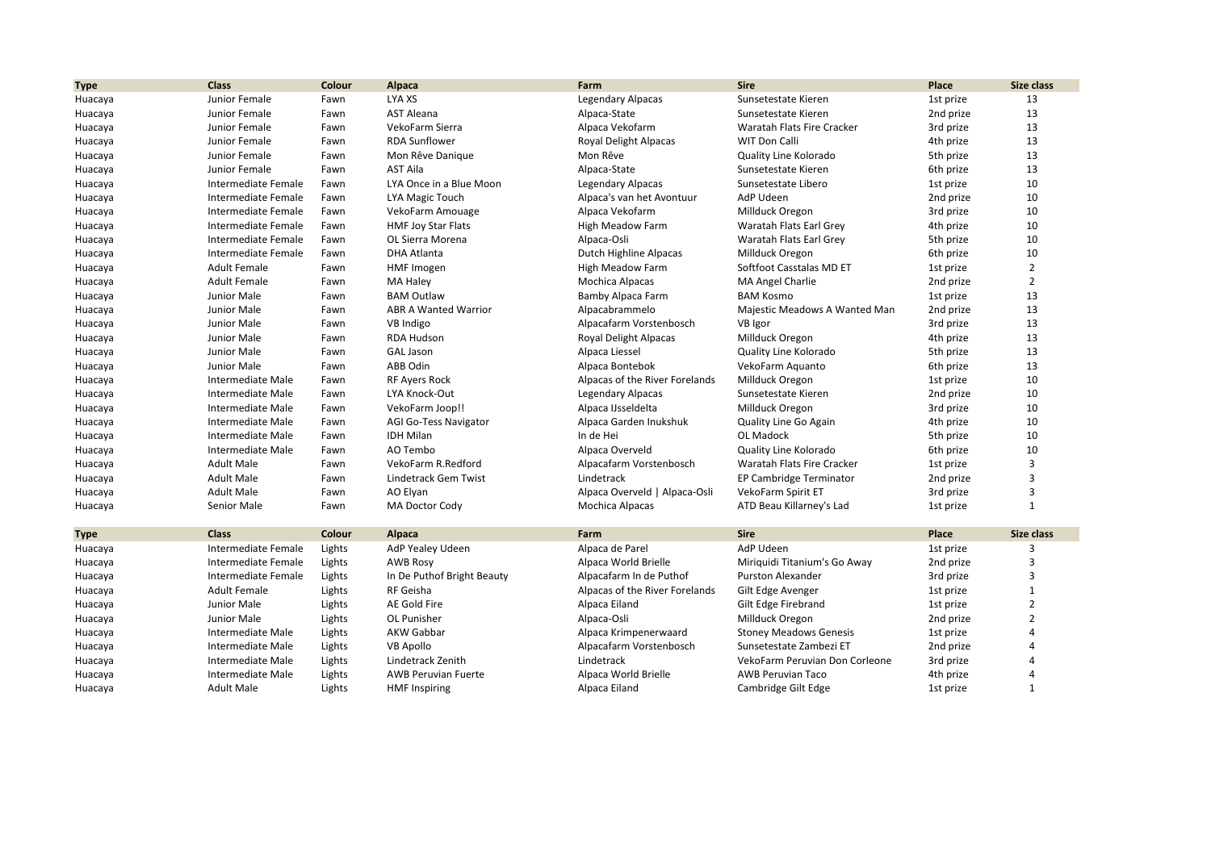| <b>Type</b> | <b>Class</b>        | Colour | Alpaca                      | Farm                           | <b>Sire</b>                    | Place     | Size class     |
|-------------|---------------------|--------|-----------------------------|--------------------------------|--------------------------------|-----------|----------------|
| Huacaya     | Junior Female       | Fawn   | LYA XS                      | <b>Legendary Alpacas</b>       | Sunsetestate Kieren            | 1st prize | 13             |
| Huacaya     | Junior Female       | Fawn   | <b>AST Aleana</b>           | Alpaca-State                   | Sunsetestate Kieren            | 2nd prize | 13             |
| Huacaya     | Junior Female       | Fawn   | VekoFarm Sierra             | Alpaca Vekofarm                | Waratah Flats Fire Cracker     | 3rd prize | 13             |
| Huacaya     | Junior Female       | Fawn   | <b>RDA Sunflower</b>        | <b>Royal Delight Alpacas</b>   | <b>WIT Don Calli</b>           | 4th prize | 13             |
| Huacaya     | Junior Female       | Fawn   | Mon Rêve Danique            | Mon Rêve                       | Quality Line Kolorado          | 5th prize | 13             |
| Huacaya     | Junior Female       | Fawn   | <b>AST Aila</b>             | Alpaca-State                   | Sunsetestate Kieren            | 6th prize | 13             |
| Huacaya     | Intermediate Female | Fawn   | LYA Once in a Blue Moon     | Legendary Alpacas              | Sunsetestate Libero            | 1st prize | 10             |
| Huacaya     | Intermediate Female | Fawn   | LYA Magic Touch             | Alpaca's van het Avontuur      | AdP Udeen                      | 2nd prize | 10             |
| Huacaya     | Intermediate Female | Fawn   | VekoFarm Amouage            | Alpaca Vekofarm                | Millduck Oregon                | 3rd prize | 10             |
| Huacaya     | Intermediate Female | Fawn   | <b>HMF Joy Star Flats</b>   | <b>High Meadow Farm</b>        | Waratah Flats Earl Grey        | 4th prize | 10             |
| Huacaya     | Intermediate Female | Fawn   | OL Sierra Morena            | Alpaca-Osli                    | Waratah Flats Earl Grey        | 5th prize | 10             |
| Huacaya     | Intermediate Female | Fawn   | <b>DHA Atlanta</b>          | Dutch Highline Alpacas         | Millduck Oregon                | 6th prize | 10             |
| Huacaya     | <b>Adult Female</b> | Fawn   | HMF Imogen                  | <b>High Meadow Farm</b>        | Softfoot Casstalas MD ET       | 1st prize | $\overline{2}$ |
| Huacaya     | <b>Adult Female</b> | Fawn   | MA Haley                    | Mochica Alpacas                | MA Angel Charlie               | 2nd prize | $\overline{2}$ |
| Huacaya     | Junior Male         | Fawn   | <b>BAM Outlaw</b>           | Bamby Alpaca Farm              | <b>BAM Kosmo</b>               | 1st prize | 13             |
| Huacaya     | Junior Male         | Fawn   | <b>ABR A Wanted Warrior</b> | Alpacabrammelo                 | Majestic Meadows A Wanted Man  | 2nd prize | 13             |
| Huacaya     | Junior Male         | Fawn   | VB Indigo                   | Alpacafarm Vorstenbosch        | VB Igor                        | 3rd prize | 13             |
| Huacaya     | Junior Male         | Fawn   | RDA Hudson                  | Royal Delight Alpacas          | Millduck Oregon                | 4th prize | 13             |
| Huacaya     | Junior Male         | Fawn   | <b>GAL Jason</b>            | Alpaca Liessel                 | Quality Line Kolorado          | 5th prize | 13             |
| Huacaya     | Junior Male         | Fawn   | ABB Odin                    | Alpaca Bontebok                | VekoFarm Aquanto               | 6th prize | 13             |
| Huacaya     | Intermediate Male   | Fawn   | <b>RF Ayers Rock</b>        | Alpacas of the River Forelands | Millduck Oregon                | 1st prize | 10             |
| Huacaya     | Intermediate Male   | Fawn   | LYA Knock-Out               | Legendary Alpacas              | Sunsetestate Kieren            | 2nd prize | 10             |
| Huacaya     | Intermediate Male   | Fawn   | VekoFarm Joop!!             | Alpaca IJsseldelta             | Millduck Oregon                | 3rd prize | 10             |
| Huacaya     | Intermediate Male   | Fawn   | AGI Go-Tess Navigator       | Alpaca Garden Inukshuk         | Quality Line Go Again          | 4th prize | 10             |
| Huacaya     | Intermediate Male   | Fawn   | <b>IDH Milan</b>            | In de Hei                      | <b>OL Madock</b>               | 5th prize | 10             |
| Huacaya     | Intermediate Male   | Fawn   | AO Tembo                    | Alpaca Overveld                | Quality Line Kolorado          | 6th prize | 10             |
| Huacaya     | <b>Adult Male</b>   | Fawn   | VekoFarm R.Redford          | Alpacafarm Vorstenbosch        | Waratah Flats Fire Cracker     | 1st prize | 3              |
| Huacaya     | <b>Adult Male</b>   | Fawn   | <b>Lindetrack Gem Twist</b> | Lindetrack                     | EP Cambridge Terminator        | 2nd prize | 3              |
| Huacaya     | <b>Adult Male</b>   | Fawn   | AO Elyan                    | Alpaca Overveld   Alpaca-Osli  | VekoFarm Spirit ET             | 3rd prize | 3              |
| Huacaya     | Senior Male         | Fawn   | MA Doctor Cody              | Mochica Alpacas                | ATD Beau Killarney's Lad       | 1st prize | $\mathbf{1}$   |
| <b>Type</b> | <b>Class</b>        | Colour | Alpaca                      | Farm                           | <b>Sire</b>                    | Place     | Size class     |
| Huacaya     | Intermediate Female | Lights | AdP Yealey Udeen            | Alpaca de Parel                | AdP Udeen                      | 1st prize | 3              |
| Huacaya     | Intermediate Female | Lights | <b>AWB Rosy</b>             | Alpaca World Brielle           | Miriquidi Titanium's Go Away   | 2nd prize | 3              |
| Huacaya     | Intermediate Female | Lights | In De Puthof Bright Beauty  | Alpacafarm In de Puthof        | <b>Purston Alexander</b>       | 3rd prize | 3              |
| Huacaya     | <b>Adult Female</b> | Lights | RF Geisha                   | Alpacas of the River Forelands | Gilt Edge Avenger              | 1st prize | $\mathbf{1}$   |
| Huacaya     | Junior Male         | Lights | AE Gold Fire                | Alpaca Eiland                  | Gilt Edge Firebrand            | 1st prize | $\overline{2}$ |
| Huacaya     | Junior Male         | Lights | OL Punisher                 | Alpaca-Osli                    | Millduck Oregon                | 2nd prize | $\overline{2}$ |
| Huacaya     | Intermediate Male   | Lights | <b>AKW Gabbar</b>           | Alpaca Krimpenerwaard          | <b>Stoney Meadows Genesis</b>  | 1st prize | Δ              |
| Huacaya     | Intermediate Male   | Lights | <b>VB Apollo</b>            | Alpacafarm Vorstenbosch        | Sunsetestate Zambezi ET        | 2nd prize |                |
| Huacaya     | Intermediate Male   | Lights | Lindetrack Zenith           | Lindetrack                     | VekoFarm Peruvian Don Corleone | 3rd prize | Δ              |
| Huacaya     | Intermediate Male   | Lights | <b>AWB Peruvian Fuerte</b>  | Alpaca World Brielle           | <b>AWB Peruvian Taco</b>       | 4th prize | Δ              |
| Huacaya     | <b>Adult Male</b>   | Lights | <b>HMF Inspiring</b>        | Alpaca Eiland                  | Cambridge Gilt Edge            | 1st prize | $\mathbf{1}$   |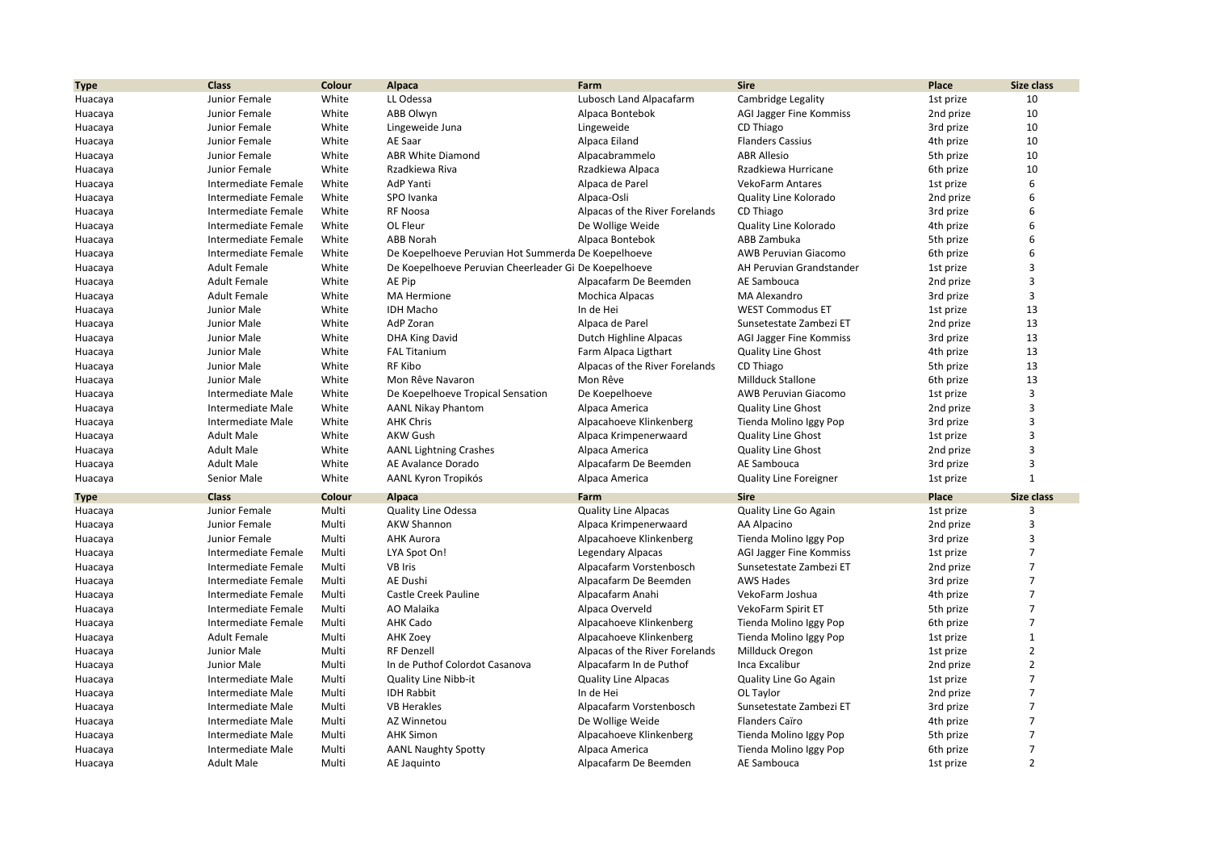| <b>Type</b>        | <b>Class</b>                           | Colour         | Alpaca                                                | Farm                                    | <b>Sire</b>                              | Place                  | Size class        |
|--------------------|----------------------------------------|----------------|-------------------------------------------------------|-----------------------------------------|------------------------------------------|------------------------|-------------------|
| Huacaya            | Junior Female                          | White          | LL Odessa                                             | Lubosch Land Alpacafarm                 | Cambridge Legality                       | 1st prize              | 10                |
| Huacaya            | Junior Female                          | White          | <b>ABB Olwyn</b>                                      | Alpaca Bontebok                         | AGI Jagger Fine Kommiss                  | 2nd prize              | 10                |
| Huacaya            | Junior Female                          | White          | Lingeweide Juna                                       | Lingeweide                              | CD Thiago                                | 3rd prize              | 10                |
| Huacaya            | Junior Female                          | White          | AE Saar                                               | Alpaca Eiland                           | <b>Flanders Cassius</b>                  | 4th prize              | 10                |
| Huacaya            | Junior Female                          | White          | <b>ABR White Diamond</b>                              | Alpacabrammelo                          | <b>ABR Allesio</b>                       | 5th prize              | 10                |
| Huacaya            | Junior Female                          | White          | Rzadkiewa Riva                                        | Rzadkiewa Alpaca                        | Rzadkiewa Hurricane                      | 6th prize              | 10                |
| Huacaya            | Intermediate Female                    | White          | AdP Yanti                                             | Alpaca de Parel                         | <b>VekoFarm Antares</b>                  | 1st prize              | 6                 |
| Huacaya            | Intermediate Female                    | White          | SPO Ivanka                                            | Alpaca-Osli                             | Quality Line Kolorado                    | 2nd prize              | 6                 |
| Huacaya            | Intermediate Female                    | White          | <b>RF Noosa</b>                                       | Alpacas of the River Forelands          | CD Thiago                                | 3rd prize              | 6                 |
| Huacaya            | Intermediate Female                    | White          | OL Fleur                                              | De Wollige Weide                        | Quality Line Kolorado                    | 4th prize              | 6                 |
| Huacaya            | Intermediate Female                    | White          | <b>ABB Norah</b>                                      | Alpaca Bontebok                         | ABB Zambuka                              | 5th prize              | 6                 |
| Huacaya            | Intermediate Female                    | White          | De Koepelhoeve Peruvian Hot Summerda De Koepelhoeve   |                                         | AWB Peruvian Giacomo                     | 6th prize              | 6                 |
| Huacaya            | <b>Adult Female</b>                    | White          | De Koepelhoeve Peruvian Cheerleader Gi De Koepelhoeve |                                         | AH Peruvian Grandstander                 | 1st prize              | $\overline{3}$    |
| Huacaya            | <b>Adult Female</b>                    | White          | AE Pip                                                | Alpacafarm De Beemden                   | AE Sambouca                              | 2nd prize              | 3                 |
| Huacaya            | <b>Adult Female</b>                    | White          | <b>MA Hermione</b>                                    | Mochica Alpacas                         | MA Alexandro                             | 3rd prize              | 3                 |
| Huacaya            | Junior Male                            | White          | <b>IDH Macho</b>                                      | In de Hei                               | <b>WEST Commodus ET</b>                  | 1st prize              | 13                |
| Huacaya            | Junior Male                            | White          | AdP Zoran                                             | Alpaca de Parel                         | Sunsetestate Zambezi ET                  | 2nd prize              | 13                |
| Huacaya            | Junior Male                            | White          | <b>DHA King David</b>                                 | Dutch Highline Alpacas                  | <b>AGI Jagger Fine Kommiss</b>           | 3rd prize              | 13                |
| Huacaya            | Junior Male                            | White          | <b>FAL Titanium</b>                                   | Farm Alpaca Ligthart                    | <b>Quality Line Ghost</b>                | 4th prize              | 13                |
| Huacaya            | Junior Male                            | White          | RF Kibo                                               | Alpacas of the River Forelands          | CD Thiago                                | 5th prize              | 13                |
| Huacaya            | Junior Male                            | White          | Mon Rêve Navaron                                      | Mon Rêve                                | Millduck Stallone                        | 6th prize              | 13                |
| Huacaya            | Intermediate Male                      | White          | De Koepelhoeve Tropical Sensation                     | De Koepelhoeve                          | <b>AWB Peruvian Giacomo</b>              | 1st prize              | 3                 |
|                    | Intermediate Male                      | White          | <b>AANL Nikay Phantom</b>                             | Alpaca America                          | <b>Quality Line Ghost</b>                | 2nd prize              | 3                 |
| Huacaya<br>Huacaya | Intermediate Male                      | White          | <b>AHK Chris</b>                                      | Alpacahoeve Klinkenberg                 | Tienda Molino Iggy Pop                   | 3rd prize              | $\overline{3}$    |
|                    | <b>Adult Male</b>                      | White          | <b>AKW Gush</b>                                       |                                         |                                          |                        | $\overline{3}$    |
| Huacaya            |                                        |                |                                                       | Alpaca Krimpenerwaard                   | <b>Quality Line Ghost</b>                | 1st prize              | 3                 |
| Huacaya            | <b>Adult Male</b><br><b>Adult Male</b> | White<br>White | <b>AANL Lightning Crashes</b><br>AE Avalance Dorado   | Alpaca America<br>Alpacafarm De Beemden | <b>Quality Line Ghost</b><br>AE Sambouca | 2nd prize<br>3rd prize | $\overline{3}$    |
| Huacaya            |                                        | White          |                                                       |                                         |                                          |                        | $\mathbf{1}$      |
| Huacaya            | <b>Senior Male</b>                     |                | AANL Kyron Tropikós                                   | Alpaca America                          | <b>Quality Line Foreigner</b>            | 1st prize              |                   |
| <b>Type</b>        | <b>Class</b>                           | Colour         | Alpaca                                                | Farm                                    | <b>Sire</b>                              | Place                  | <b>Size class</b> |
| Huacaya            | Junior Female                          | Multi          | <b>Quality Line Odessa</b>                            | <b>Quality Line Alpacas</b>             | Quality Line Go Again                    | 1st prize              | 3                 |
| Huacaya            | Junior Female                          | Multi          | <b>AKW Shannon</b>                                    | Alpaca Krimpenerwaard                   | AA Alpacino                              | 2nd prize              | $\overline{3}$    |
| Huacaya            | Junior Female                          | Multi          | <b>AHK Aurora</b>                                     | Alpacahoeve Klinkenberg                 | Tienda Molino Iggy Pop                   | 3rd prize              | $\overline{3}$    |
| Huacaya            | Intermediate Female                    | Multi          | LYA Spot On!                                          | <b>Legendary Alpacas</b>                | AGI Jagger Fine Kommiss                  | 1st prize              | $\overline{7}$    |
| Huacaya            | Intermediate Female                    | Multi          | <b>VB Iris</b>                                        | Alpacafarm Vorstenbosch                 | Sunsetestate Zambezi ET                  | 2nd prize              | $\overline{7}$    |
| Huacaya            | Intermediate Female                    | Multi          | AE Dushi                                              | Alpacafarm De Beemden                   | <b>AWS Hades</b>                         | 3rd prize              | $\overline{7}$    |
| Huacaya            | Intermediate Female                    | Multi          | <b>Castle Creek Pauline</b>                           | Alpacafarm Anahi                        | VekoFarm Joshua                          | 4th prize              | $\overline{7}$    |
| Huacaya            | Intermediate Female                    | Multi          | AO Malaika                                            | Alpaca Overveld                         | VekoFarm Spirit ET                       | 5th prize              | $\overline{7}$    |
| Huacaya            | Intermediate Female                    | Multi          | <b>AHK Cado</b>                                       | Alpacahoeve Klinkenberg                 | Tienda Molino Iggy Pop                   | 6th prize              | $\overline{7}$    |
| Huacaya            | <b>Adult Female</b>                    | Multi          | AHK Zoey                                              | Alpacahoeve Klinkenberg                 | Tienda Molino Iggy Pop                   | 1st prize              | $\mathbf{1}$      |
| Huacaya            | Junior Male                            | Multi          | <b>RF Denzell</b>                                     | Alpacas of the River Forelands          | Millduck Oregon                          | 1st prize              | $\overline{2}$    |
| Huacaya            | Junior Male                            | Multi          | In de Puthof Colordot Casanova                        | Alpacafarm In de Puthof                 | Inca Excalibur                           | 2nd prize              | $\overline{2}$    |
| Huacaya            | Intermediate Male                      | Multi          | Quality Line Nibb-it                                  | <b>Quality Line Alpacas</b>             | Quality Line Go Again                    | 1st prize              | $\overline{7}$    |
| Huacaya            | Intermediate Male                      | Multi          | <b>IDH Rabbit</b>                                     | In de Hei                               | OL Taylor                                | 2nd prize              | $\overline{7}$    |
| Huacaya            | Intermediate Male                      | Multi          | <b>VB Herakles</b>                                    | Alpacafarm Vorstenbosch                 | Sunsetestate Zambezi ET                  | 3rd prize              | $\overline{7}$    |
| Huacaya            | Intermediate Male                      | Multi          | AZ Winnetou                                           | De Wollige Weide                        | Flanders Caïro                           | 4th prize              | $\overline{7}$    |
| Huacaya            | Intermediate Male                      | Multi          | <b>AHK Simon</b>                                      | Alpacahoeve Klinkenberg                 | Tienda Molino Iggy Pop                   | 5th prize              | $\overline{7}$    |
| Huacaya            | Intermediate Male                      | Multi          | <b>AANL Naughty Spotty</b>                            | Alpaca America                          | Tienda Molino Iggy Pop                   | 6th prize              | $\overline{7}$    |
| Huacaya            | <b>Adult Male</b>                      | Multi          | AE Jaquinto                                           | Alpacafarm De Beemden                   | AE Sambouca                              | 1st prize              | $\overline{2}$    |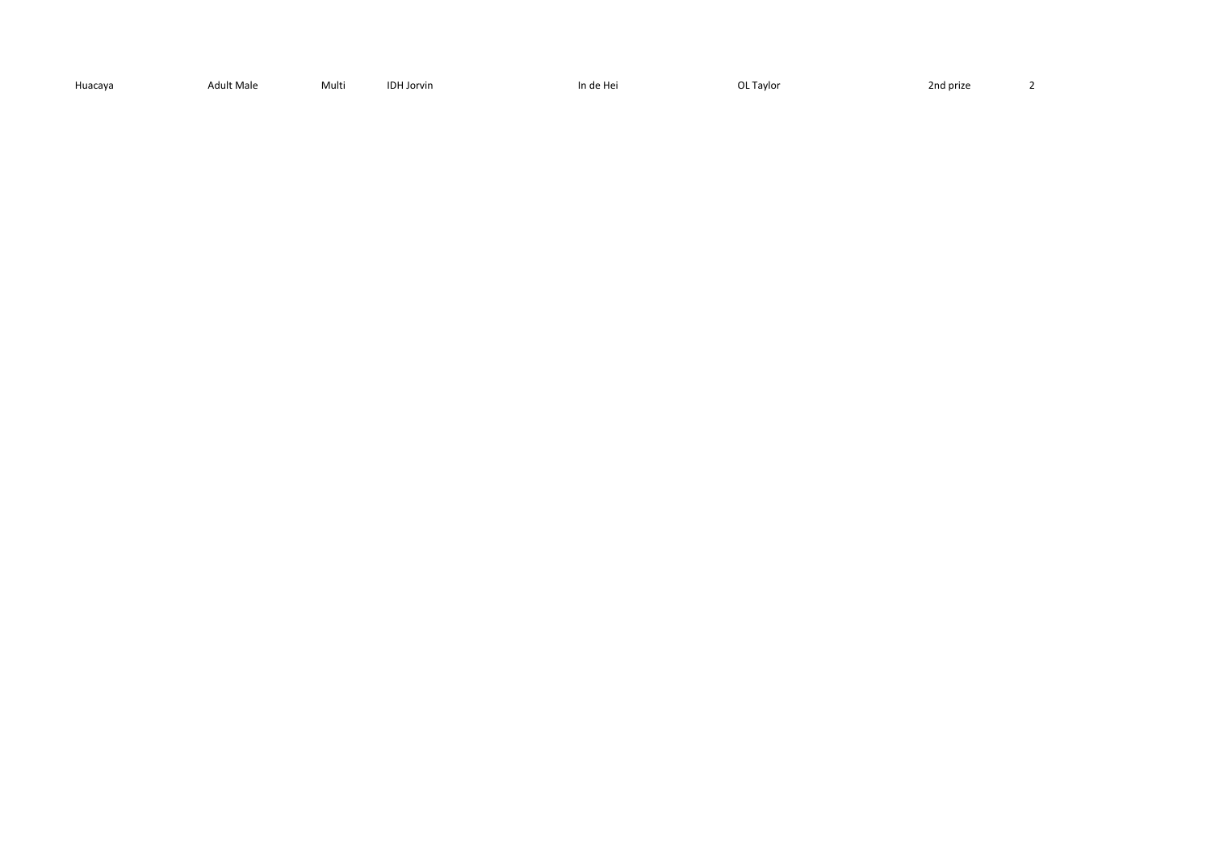| Huacaya | Adult Male | Multi | <b>IDH Jorvin</b> | In de Hei | L Taylor عال | 2nd prize<br>$\mathcal{L} = \{ \mathcal{L} \}$<br>___ |  |
|---------|------------|-------|-------------------|-----------|--------------|-------------------------------------------------------|--|
|---------|------------|-------|-------------------|-----------|--------------|-------------------------------------------------------|--|